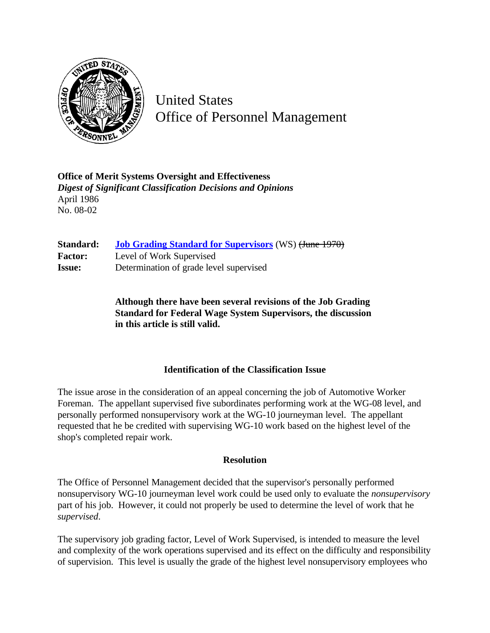

United States Office of Personnel Management

**Office of Merit Systems Oversight and Effectiveness** *Digest of Significant Classification Decisions and Opinions* April 1986 No. 08-02

| Standard:      | <b>Job Grading Standard for Supervisors (WS) (June 1970)</b> |
|----------------|--------------------------------------------------------------|
| <b>Factor:</b> | Level of Work Supervised                                     |
| <b>Issue:</b>  | Determination of grade level supervised                      |

**Although there have been several revisions of the Job Grading Standard for Federal Wage System Supervisors, the discussion in this article is still valid.**

## **Identification of the Classification Issue**

The issue arose in the consideration of an appeal concerning the job of Automotive Worker Foreman. The appellant supervised five subordinates performing work at the WG-08 level, and personally performed nonsupervisory work at the WG-10 journeyman level. The appellant requested that he be credited with supervising WG-10 work based on the highest level of the shop's completed repair work.

## **Resolution**

The Office of Personnel Management decided that the supervisor's personally performed nonsupervisory WG-10 journeyman level work could be used only to evaluate the *nonsupervisory* part of his job. However, it could not properly be used to determine the level of work that he *supervised*.

The supervisory job grading factor, Level of Work Supervised, is intended to measure the level and complexity of the work operations supervised and its effect on the difficulty and responsibility of supervision. This level is usually the grade of the highest level nonsupervisory employees who